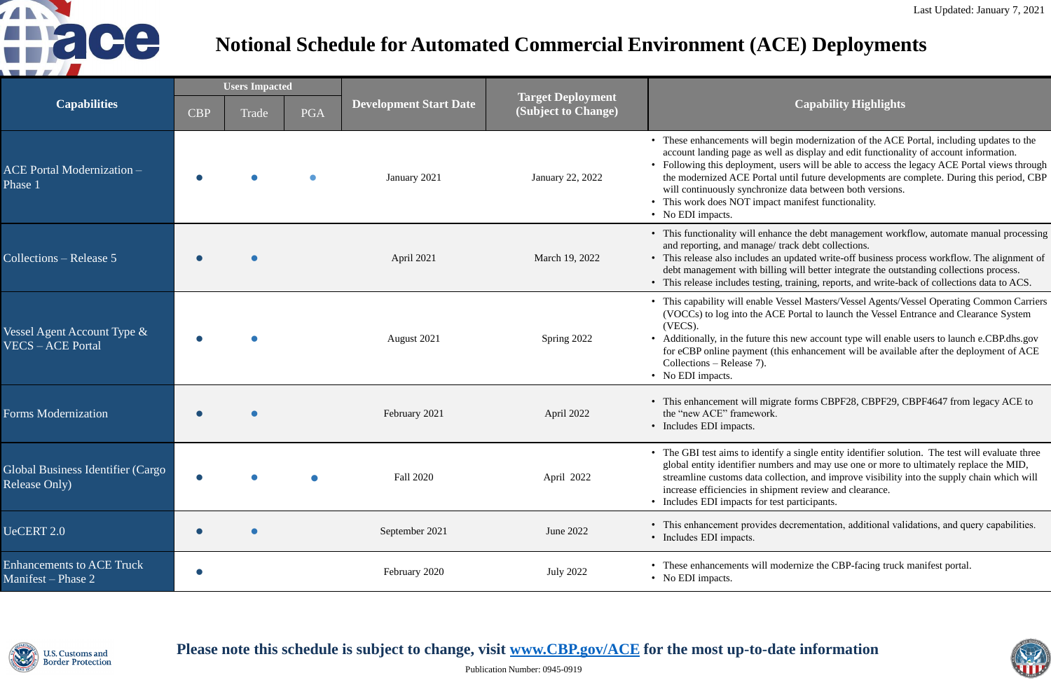### **(Subject to Change) Capability Highlights**

begin modernization of the ACE Portal, including updates to the vell as display and edit functionality of account information. it, users will be able to access the legacy ACE Portal views through al until future developments are complete. During this period, CBP nize data between both versions.

act manifest functionality.

hance the debt management workflow, automate manual processing e/ track debt collections.

an updated write-off business process workflow. The alignment of lling will better integrate the outstanding collections process. ng, training, reports, and write-back of collections data to ACS.

Vessel Masters/Vessel Agents/Vessel Operating Common Carriers TCE Portal to launch the Vessel Entrance and Clearance System

this new account type will enable users to launch e.CBP.dhs.gov (this enhancement will be available after the deployment of ACE

grate forms CBPF28, CBPF29, CBPF4647 from legacy ACE to

tify a single entity identifier solution. The test will evaluate three mbers and may use one or more to ultimately replace the MID, ollection, and improve visibility into the supply chain which will ipment review and clearance. test participants.

es decrementation, additional validations, and query capabilities.

modernize the CBP-facing truck manifest portal.



| <b>Capabilities</b>                                       | <b>Users Impacted</b> |       |            |                               |                                                 |                                                                                                                                                                                                           |
|-----------------------------------------------------------|-----------------------|-------|------------|-------------------------------|-------------------------------------------------|-----------------------------------------------------------------------------------------------------------------------------------------------------------------------------------------------------------|
|                                                           | <b>CBP</b>            | Trade | <b>PGA</b> | <b>Development Start Date</b> | <b>Target Deployment</b><br>(Subject to Change) |                                                                                                                                                                                                           |
| <b>ACE Portal Modernization -</b><br>Phase 1              |                       |       |            | January 2021                  | January 22, 2022                                | • These enhancements will be<br>account landing page as we<br>• Following this deployment,<br>the modernized ACE Portal<br>will continuously synchroni<br>• This work does NOT impac<br>• No EDI impacts. |
| Collections – Release 5                                   |                       |       |            | April 2021                    | March 19, 2022                                  | • This functionality will enha<br>and reporting, and manage/<br>• This release also includes a<br>debt management with billi<br>• This release includes testing                                           |
| Vessel Agent Account Type &<br><b>VECS-ACE Portal</b>     |                       |       |            | August 2021                   | Spring 2022                                     | • This capability will enable<br>(VOCCs) to log into the AC<br>(VECS).<br>• Additionally, in the future the<br>for eCBP online payment (t<br>Collections – Release 7).<br>• No EDI impacts.               |
| <b>Forms Modernization</b>                                |                       |       |            | February 2021                 | April 2022                                      | • This enhancement will might<br>the "new ACE" framework.<br>• Includes EDI impacts.                                                                                                                      |
| Global Business Identifier (Cargo<br><b>Release Only)</b> |                       |       |            | <b>Fall 2020</b>              | April 2022                                      | • The GBI test aims to identif<br>global entity identifier num<br>streamline customs data col<br>increase efficiencies in ship<br>• Includes EDI impacts for te                                           |
| UeCERT 2.0                                                |                       |       |            | September 2021                | June 2022                                       | • This enhancement provides<br>• Includes EDI impacts.                                                                                                                                                    |
| <b>Enhancements to ACE Truck</b><br>Manifest – Phase 2    |                       |       |            | February 2020                 | <b>July 2022</b>                                | • These enhancements will m<br>• No EDI impacts.                                                                                                                                                          |



## Please note this schedule is subject to change, visit **[www.CBP.gov/ACE](http://www.cbp.gov/ACE)** for the most up-to-date information



## **Notional Schedule for Automated Commercial Environment (ACE) Deployments**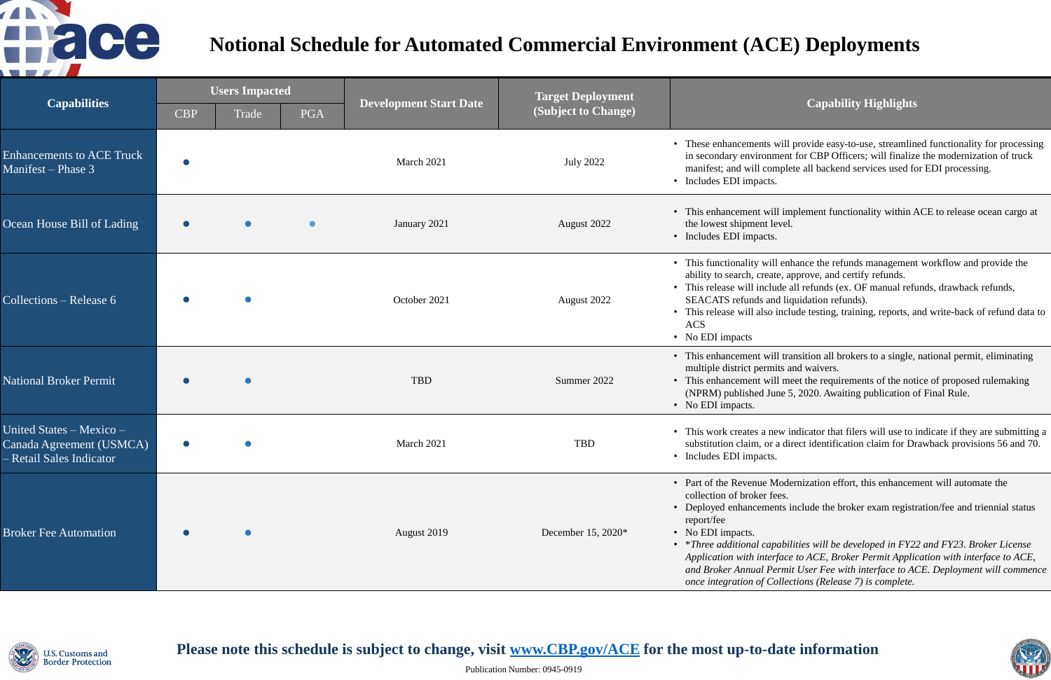### **(Subject to Change) Capability Highlights**

will provide easy-to-use, streamlined functionality for processing in secondary for CBP Officers; will finalize the modernization of truck bmplete all backend services used for EDI processing.

ill implement functionality within ACE to release ocean cargo at level.

ill enhance the refunds management workflow and provide the ate, approve, and certify refunds.

lude all refunds (ex. OF manual refunds, drawback refunds, Ind liquidation refunds).

 $\sigma$  include testing, training, reports, and write-back of refund data to

ill transition all brokers to a single, national permit, eliminating mits and waivers.

ill meet the requirements of the notice of proposed rulemaking une 5, 2020. Awaiting publication of Final Rule.

new indicator that filers will use to indicate if they are submitting a r a direct identification claim for Drawback provisions 56 and 70.

Modernization effort, this enhancement will automate the fees.

ents include the broker exam registration/fee and triennial status

• \**Three additional capabilities will be developed in FY22 and FY23. Broker License Application with interface to ACE, Broker Permit Application with interface to ACE,*  Permit User Fee with interface to ACE. Deployment will commence *Collections (Release 7) is complete.* 



| <b>Capabilities</b>                                                              | <b>Users Impacted</b> |       |            |                               | <b>Target Deployment</b> |                                                                                                                                                                                                                       |
|----------------------------------------------------------------------------------|-----------------------|-------|------------|-------------------------------|--------------------------|-----------------------------------------------------------------------------------------------------------------------------------------------------------------------------------------------------------------------|
|                                                                                  | <b>CBP</b>            | Trade | <b>PGA</b> | <b>Development Start Date</b> | (Subject to Change)      |                                                                                                                                                                                                                       |
| <b>Enhancements to ACE Truck</b><br>Manifest - Phase 3                           |                       |       |            | March 2021                    | <b>July 2022</b>         | • These enhancements v<br>in secondary environn<br>manifest; and will con<br>• Includes EDI impacts.                                                                                                                  |
| Ocean House Bill of Lading                                                       |                       |       |            | January 2021                  | August 2022              | • This enhancement wil<br>the lowest shipment le<br>• Includes EDI impacts.                                                                                                                                           |
| Collections – Release 6                                                          |                       |       |            | October 2021                  | August 2022              | • This functionality will<br>ability to search, creat<br>• This release will inclu<br>SEACATS refunds and<br>• This release will also<br><b>ACS</b><br>• No EDI impacts                                               |
| <b>National Broker Permit</b>                                                    |                       |       |            | <b>TBD</b>                    | Summer 2022              | • This enhancement wil<br>multiple district permi<br>• This enhancement wil<br>(NPRM) published Ju<br>• No EDI impacts.                                                                                               |
| United States - Mexico -<br>Canada Agreement (USMCA)<br>- Retail Sales Indicator |                       |       |            | March 2021                    | <b>TBD</b>               | • This work creates a ne<br>substitution claim, or<br>• Includes EDI impacts.                                                                                                                                         |
| <b>Broker Fee Automation</b>                                                     |                       |       |            | August 2019                   | December 15, 2020*       | • Part of the Revenue M<br>collection of broker fe<br>• Deployed enhancemen<br>report/fee<br>• No EDI impacts.<br>• *Three additional cap<br>Application with inter<br>and Broker Annual Pe<br>once integration of Co |



Please note this schedule is subject to change, visit **[www.CBP.gov/ACE](http://www.cbp.gov/ACE)** for the most up-to-date information



# **Notional Schedule for Automated Commercial Environment (ACE) Deployments**